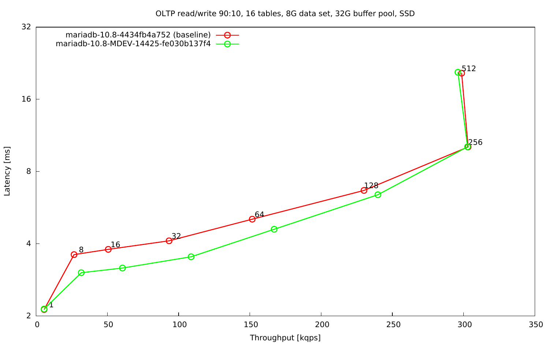OLTP read/write 90:10, 16 tables, 8G data set, 32G buffer pool, SSD



Latency [ms] Latency [ms]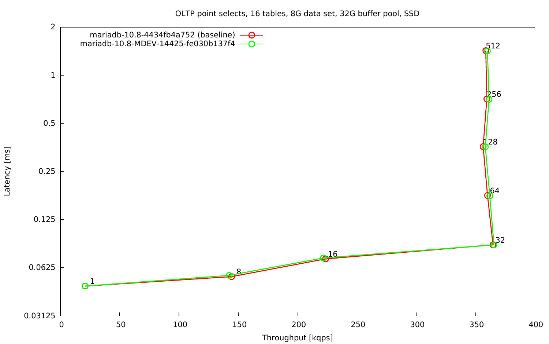OLTP point selects, 16 tables, 8G data set, 32G buffer pool, SSD

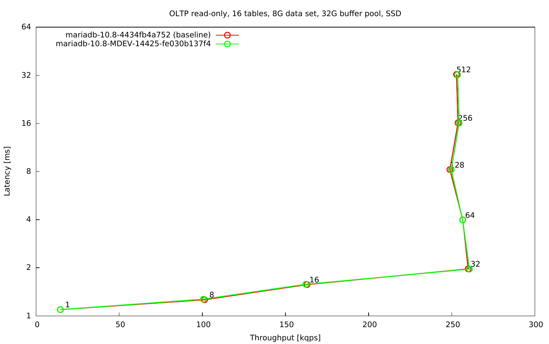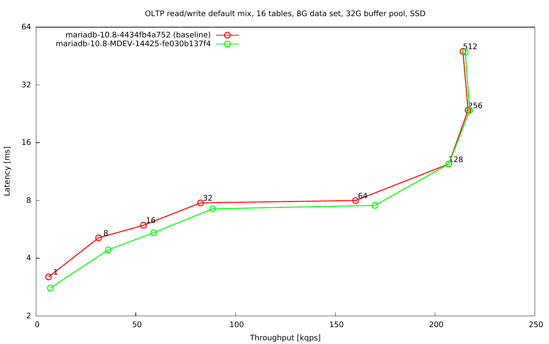OLTP read/write default mix, 16 tables, 8G data set, 32G buffer pool, SSD



Latency [ms] Latency [ms]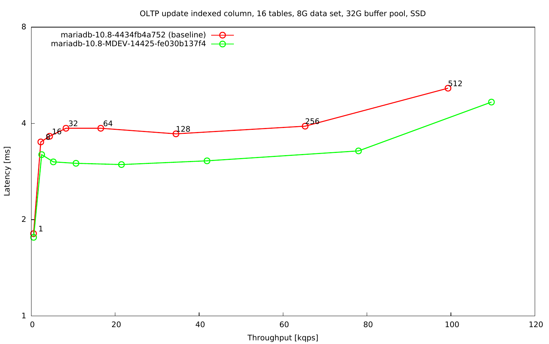OLTP update indexed column, 16 tables, 8G data set, 32G buffer pool, SSD

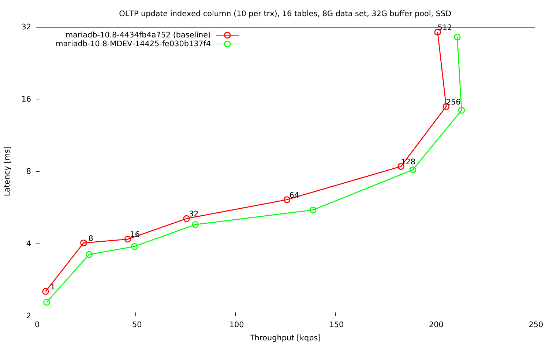OLTP update indexed column (10 per trx), 16 tables, 8G data set, 32G buffer pool, SSD

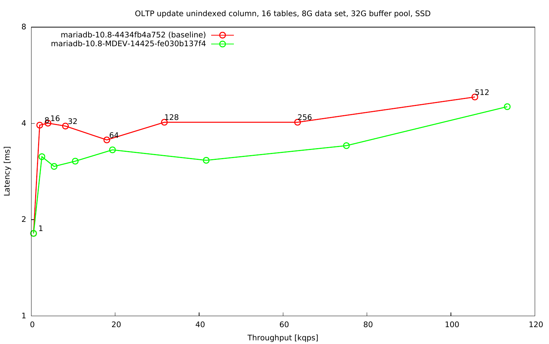OLTP update unindexed column, 16 tables, 8G data set, 32G buffer pool, SSD